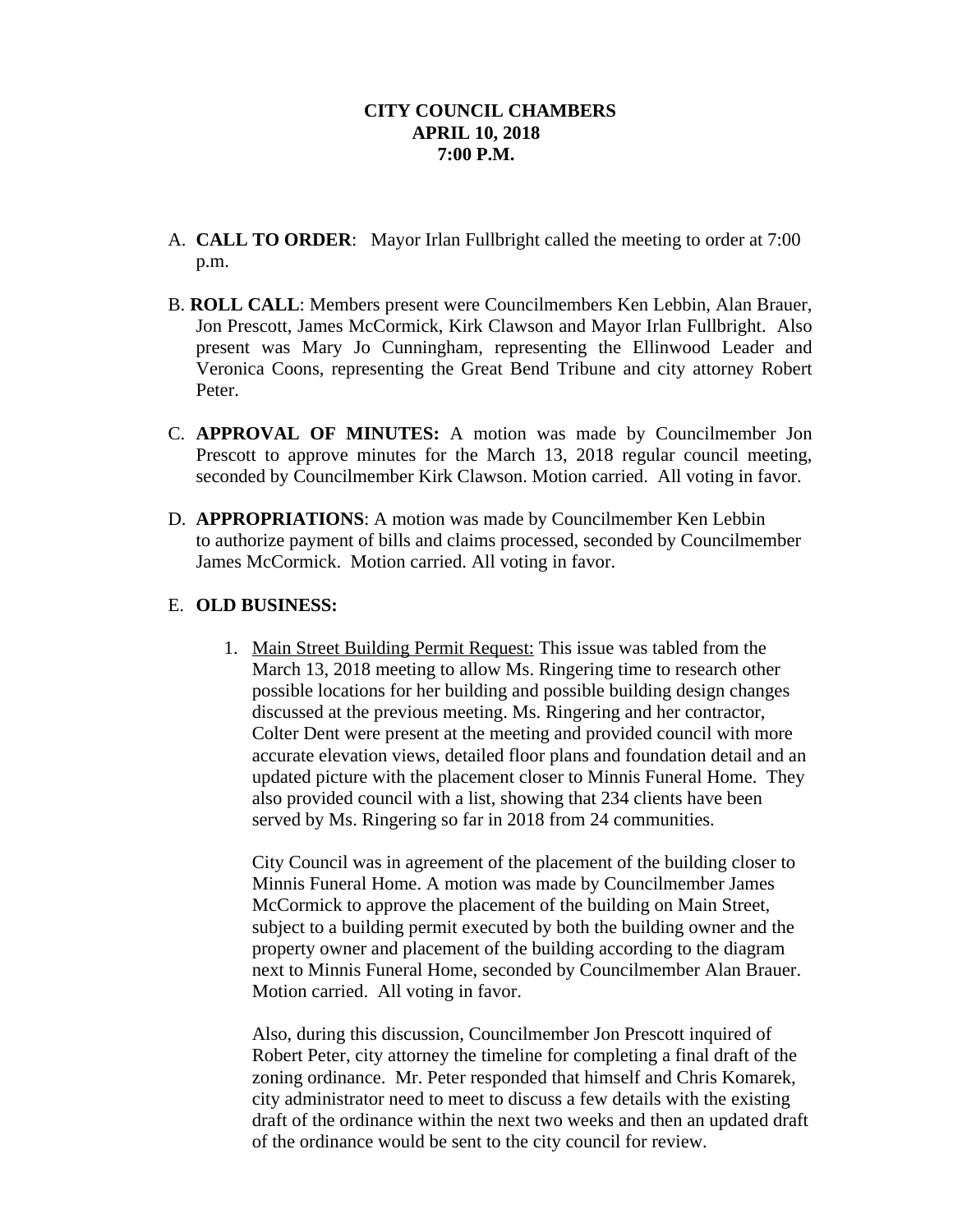- A. **CALL TO ORDER**: Mayor Irlan Fullbright called the meeting to order at 7:00 p.m.
- B. **ROLL CALL**: Members present were Councilmembers Ken Lebbin, Alan Brauer, Jon Prescott, James McCormick, Kirk Clawson and Mayor Irlan Fullbright. Also present was Mary Jo Cunningham, representing the Ellinwood Leader and Veronica Coons, representing the Great Bend Tribune and city attorney Robert Peter.
- C. **APPROVAL OF MINUTES:** A motion was made by Councilmember Jon Prescott to approve minutes for the March 13, 2018 regular council meeting, seconded by Councilmember Kirk Clawson. Motion carried. All voting in favor.
- D. **APPROPRIATIONS**: A motion was made by Councilmember Ken Lebbin to authorize payment of bills and claims processed, seconded by Councilmember James McCormick. Motion carried. All voting in favor.

## E. **OLD BUSINESS:**

1. Main Street Building Permit Request: This issue was tabled from the March 13, 2018 meeting to allow Ms. Ringering time to research other possible locations for her building and possible building design changes discussed at the previous meeting. Ms. Ringering and her contractor, Colter Dent were present at the meeting and provided council with more accurate elevation views, detailed floor plans and foundation detail and an updated picture with the placement closer to Minnis Funeral Home. They also provided council with a list, showing that 234 clients have been served by Ms. Ringering so far in 2018 from 24 communities.

City Council was in agreement of the placement of the building closer to Minnis Funeral Home. A motion was made by Councilmember James McCormick to approve the placement of the building on Main Street, subject to a building permit executed by both the building owner and the property owner and placement of the building according to the diagram next to Minnis Funeral Home, seconded by Councilmember Alan Brauer. Motion carried. All voting in favor.

Also, during this discussion, Councilmember Jon Prescott inquired of Robert Peter, city attorney the timeline for completing a final draft of the zoning ordinance. Mr. Peter responded that himself and Chris Komarek, city administrator need to meet to discuss a few details with the existing draft of the ordinance within the next two weeks and then an updated draft of the ordinance would be sent to the city council for review.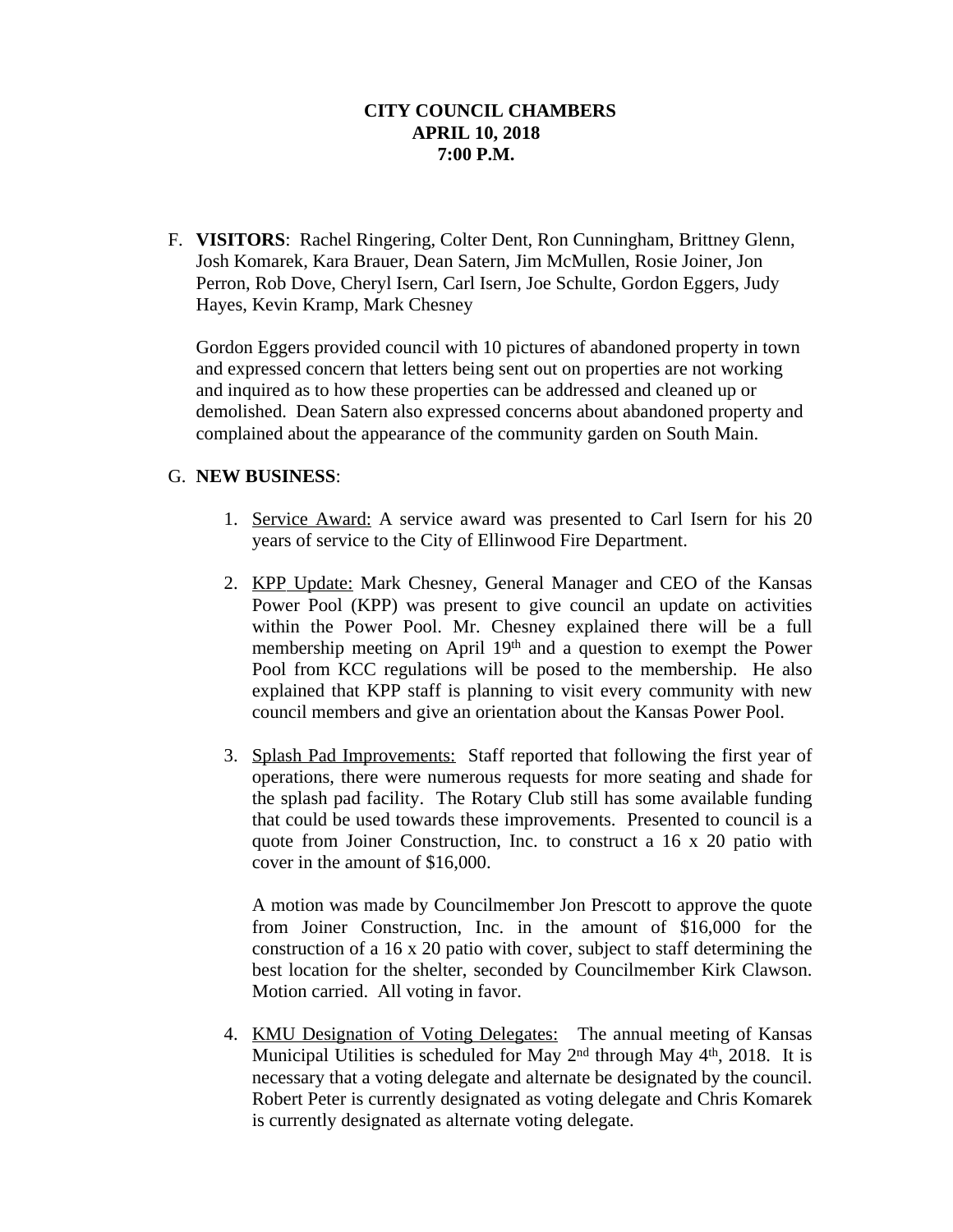F. **VISITORS**: Rachel Ringering, Colter Dent, Ron Cunningham, Brittney Glenn, Josh Komarek, Kara Brauer, Dean Satern, Jim McMullen, Rosie Joiner, Jon Perron, Rob Dove, Cheryl Isern, Carl Isern, Joe Schulte, Gordon Eggers, Judy Hayes, Kevin Kramp, Mark Chesney

Gordon Eggers provided council with 10 pictures of abandoned property in town and expressed concern that letters being sent out on properties are not working and inquired as to how these properties can be addressed and cleaned up or demolished. Dean Satern also expressed concerns about abandoned property and complained about the appearance of the community garden on South Main.

## G. **NEW BUSINESS**:

- 1. Service Award: A service award was presented to Carl Isern for his 20 years of service to the City of Ellinwood Fire Department.
- 2. KPP Update: Mark Chesney, General Manager and CEO of the Kansas Power Pool (KPP) was present to give council an update on activities within the Power Pool. Mr. Chesney explained there will be a full membership meeting on April 19th and a question to exempt the Power Pool from KCC regulations will be posed to the membership. He also explained that KPP staff is planning to visit every community with new council members and give an orientation about the Kansas Power Pool.
- 3. Splash Pad Improvements: Staff reported that following the first year of operations, there were numerous requests for more seating and shade for the splash pad facility. The Rotary Club still has some available funding that could be used towards these improvements. Presented to council is a quote from Joiner Construction, Inc. to construct a 16 x 20 patio with cover in the amount of \$16,000.

A motion was made by Councilmember Jon Prescott to approve the quote from Joiner Construction, Inc. in the amount of \$16,000 for the construction of a 16 x 20 patio with cover, subject to staff determining the best location for the shelter, seconded by Councilmember Kirk Clawson. Motion carried. All voting in favor.

4. KMU Designation of Voting Delegates: The annual meeting of Kansas Municipal Utilities is scheduled for May 2<sup>nd</sup> through May 4<sup>th</sup>, 2018. It is necessary that a voting delegate and alternate be designated by the council. Robert Peter is currently designated as voting delegate and Chris Komarek is currently designated as alternate voting delegate.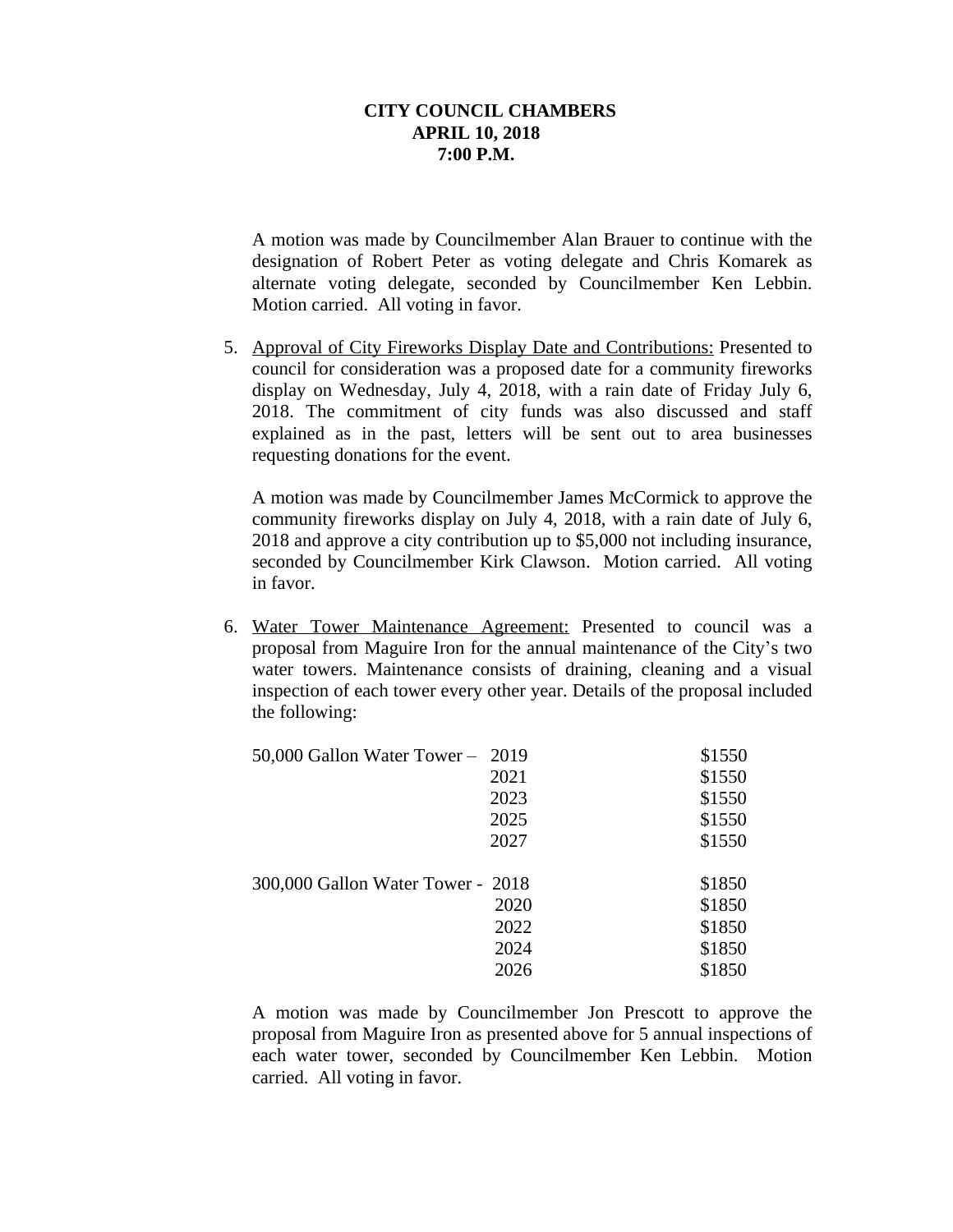A motion was made by Councilmember Alan Brauer to continue with the designation of Robert Peter as voting delegate and Chris Komarek as alternate voting delegate, seconded by Councilmember Ken Lebbin. Motion carried. All voting in favor.

5. Approval of City Fireworks Display Date and Contributions: Presented to council for consideration was a proposed date for a community fireworks display on Wednesday, July 4, 2018, with a rain date of Friday July 6, 2018. The commitment of city funds was also discussed and staff explained as in the past, letters will be sent out to area businesses requesting donations for the event.

A motion was made by Councilmember James McCormick to approve the community fireworks display on July 4, 2018, with a rain date of July 6, 2018 and approve a city contribution up to \$5,000 not including insurance, seconded by Councilmember Kirk Clawson. Motion carried. All voting in favor.

6. Water Tower Maintenance Agreement: Presented to council was a proposal from Maguire Iron for the annual maintenance of the City's two water towers. Maintenance consists of draining, cleaning and a visual inspection of each tower every other year. Details of the proposal included the following:

| 50,000 Gallon Water Tower - 2019  |      | \$1550 |
|-----------------------------------|------|--------|
|                                   | 2021 | \$1550 |
|                                   | 2023 | \$1550 |
|                                   | 2025 | \$1550 |
|                                   | 2027 | \$1550 |
| 300,000 Gallon Water Tower - 2018 |      | \$1850 |
|                                   | 2020 | \$1850 |
|                                   | 2022 | \$1850 |
|                                   | 2024 | \$1850 |
|                                   | 2026 | \$1850 |

A motion was made by Councilmember Jon Prescott to approve the proposal from Maguire Iron as presented above for 5 annual inspections of each water tower, seconded by Councilmember Ken Lebbin. Motion carried. All voting in favor.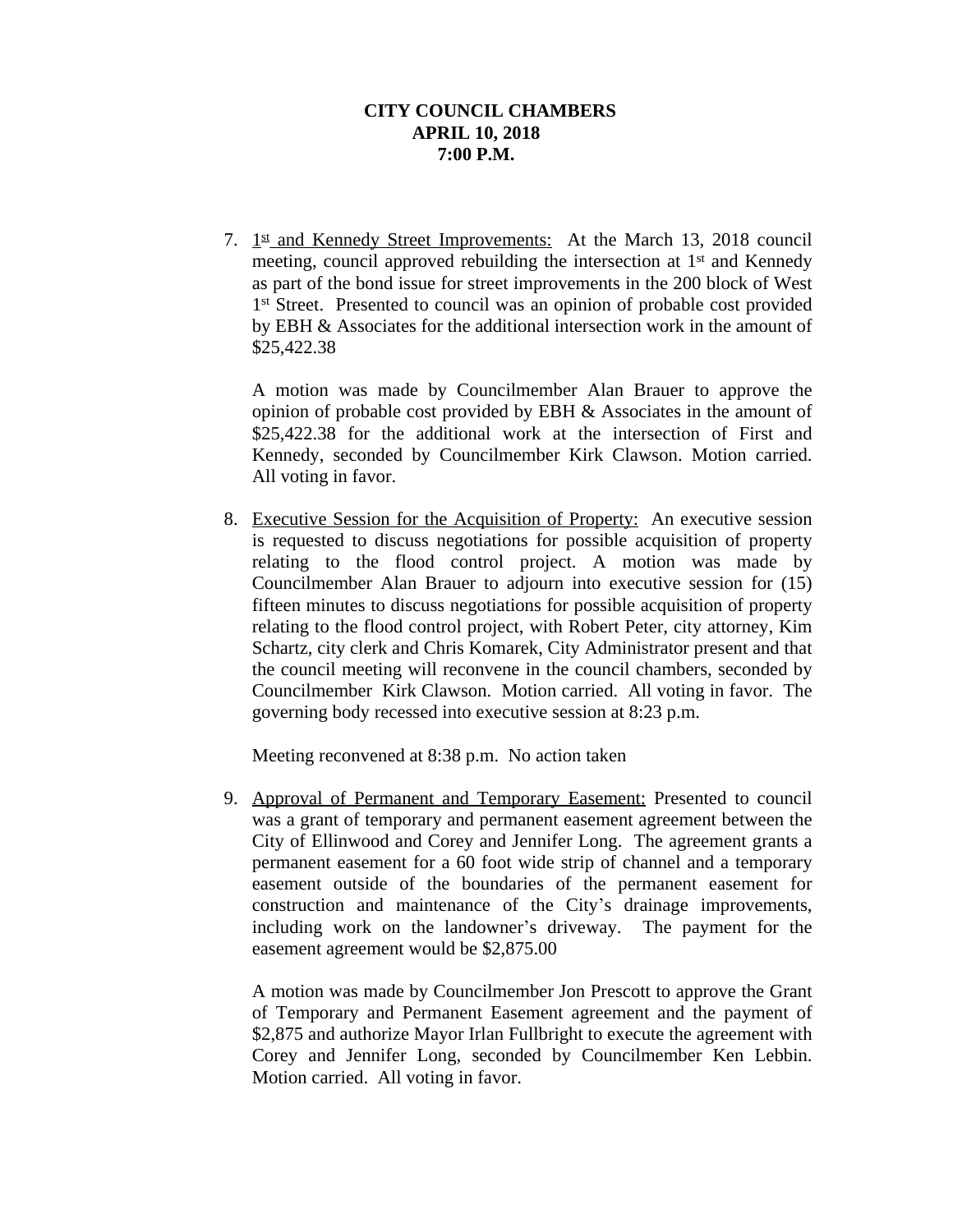7. 1st and Kennedy Street Improvements: At the March 13, 2018 council meeting, council approved rebuilding the intersection at 1<sup>st</sup> and Kennedy as part of the bond issue for street improvements in the 200 block of West 1<sup>st</sup> Street. Presented to council was an opinion of probable cost provided by EBH & Associates for the additional intersection work in the amount of \$25,422.38

A motion was made by Councilmember Alan Brauer to approve the opinion of probable cost provided by EBH & Associates in the amount of \$25,422.38 for the additional work at the intersection of First and Kennedy, seconded by Councilmember Kirk Clawson. Motion carried. All voting in favor.

8. Executive Session for the Acquisition of Property: An executive session is requested to discuss negotiations for possible acquisition of property relating to the flood control project. A motion was made by Councilmember Alan Brauer to adjourn into executive session for (15) fifteen minutes to discuss negotiations for possible acquisition of property relating to the flood control project, with Robert Peter, city attorney, Kim Schartz, city clerk and Chris Komarek, City Administrator present and that the council meeting will reconvene in the council chambers, seconded by Councilmember Kirk Clawson. Motion carried. All voting in favor. The governing body recessed into executive session at 8:23 p.m.

Meeting reconvened at 8:38 p.m. No action taken

9. Approval of Permanent and Temporary Easement: Presented to council was a grant of temporary and permanent easement agreement between the City of Ellinwood and Corey and Jennifer Long. The agreement grants a permanent easement for a 60 foot wide strip of channel and a temporary easement outside of the boundaries of the permanent easement for construction and maintenance of the City's drainage improvements, including work on the landowner's driveway. The payment for the easement agreement would be \$2,875.00

A motion was made by Councilmember Jon Prescott to approve the Grant of Temporary and Permanent Easement agreement and the payment of \$2,875 and authorize Mayor Irlan Fullbright to execute the agreement with Corey and Jennifer Long, seconded by Councilmember Ken Lebbin. Motion carried. All voting in favor.